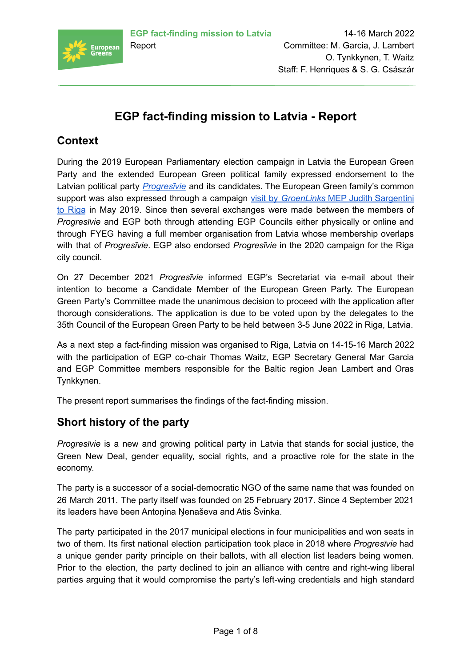

# **EGP fact-finding mission to Latvia - Report**

# **Context**

During the 2019 European Parliamentary election campaign in Latvia the European Green Party and the extended European Green political family expressed endorsement to the Latvian political party *[Progresīvie](https://www.progresivie.lv/)* and its candidates. The European Green family's common support was also expressed through a campaign visit by *[GroenLinks](https://twitter.com/europeangreens/status/1129014394648768519)* MEP Judith Sargentini to [Riga](https://twitter.com/europeangreens/status/1129014394648768519) in May 2019. Since then several exchanges were made between the members of *Progresīvie* and EGP both through attending EGP Councils either physically or online and through FYEG having a full member organisation from Latvia whose membership overlaps with that of *Progresīvie*. EGP also endorsed *Progresīvie* in the 2020 campaign for the Riga city council.

On 27 December 2021 *Progresīvie* informed EGP's Secretariat via e-mail about their intention to become a Candidate Member of the European Green Party. The European Green Party's Committee made the unanimous decision to proceed with the application after thorough considerations. The application is due to be voted upon by the delegates to the 35th Council of the European Green Party to be held between 3-5 June 2022 in Riga, Latvia.

As a next step a fact-finding mission was organised to Riga, Latvia on 14-15-16 March 2022 with the participation of EGP co-chair Thomas Waitz, EGP Secretary General Mar Garcia and EGP Committee members responsible for the Baltic region Jean Lambert and Oras Tynkkynen.

The present report summarises the findings of the fact-finding mission.

## **Short history of the party**

*Progresīvie* is a new and growing political party in Latvia that stands for social justice, the Green New Deal, gender equality, social rights, and a proactive role for the state in the economy.

The party is a successor of a social-democratic NGO of the same name that was founded on 26 March 2011. The party itself was founded on 25 February 2017. Since 4 September 2021 its leaders have been Antoņina Ņenaševa and Atis Švinka.

The party participated in the 2017 municipal elections in four municipalities and won seats in two of them. Its first national election participation took place in 2018 where *Progresīvie* had a unique gender parity principle on their ballots, with all election list leaders being women. Prior to the election, the party declined to join an alliance with centre and right-wing liberal parties arguing that it would compromise the party's left-wing credentials and high standard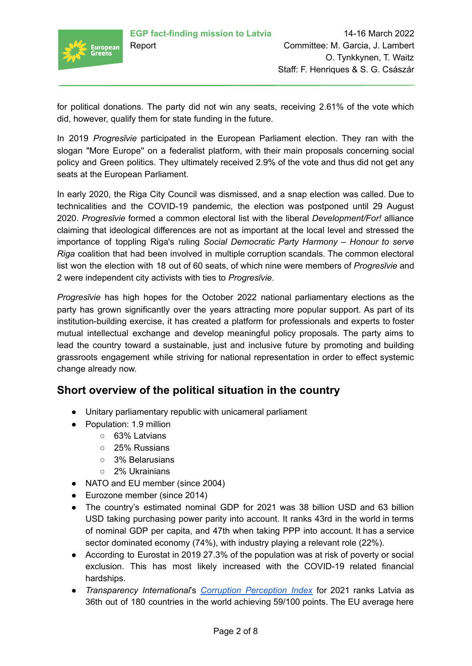

for political donations. The party did not win any seats, receiving 2.61% of the vote which did, however, qualify them for state funding in the future.

In 2019 *Progresīvie* participated in the European Parliament election. They ran with the slogan "More Europe'' on a federalist platform, with their main proposals concerning social policy and Green politics. They ultimately received 2.9% of the vote and thus did not get any seats at the European Parliament.

In early 2020, the Riga City Council was dismissed, and a snap election was called. Due to technicalities and the COVID-19 pandemic, the election was postponed until 29 August 2020. *Progresīvie* formed a common electoral list with the liberal *Development/For!* alliance claiming that ideological differences are not as important at the local level and stressed the importance of toppling Riga's ruling *Social Democratic Party Harmony – Honour to serve Riga* coalition that had been involved in multiple corruption scandals. The common electoral list won the election with 18 out of 60 seats, of which nine were members of *Progresīvie* and 2 were independent city activists with ties to *Progresīvie*.

*Progresīvie* has high hopes for the October 2022 national parliamentary elections as the party has grown significantly over the years attracting more popular support. As part of its institution-building exercise, it has created a platform for professionals and experts to foster mutual intellectual exchange and develop meaningful policy proposals. The party aims to lead the country toward a sustainable, just and inclusive future by promoting and building grassroots engagement while striving for national representation in order to effect systemic change already now.

### **Short overview of the political situation in the country**

- Unitary parliamentary republic with unicameral parliament
- Population: 1.9 million
	- 63% Latvians
	- 25% Russians
	- 3% Belarusians
	- 2% Ukrainians
- NATO and EU member (since 2004)
- Eurozone member (since 2014)
- The country's estimated nominal GDP for 2021 was 38 billion USD and 63 billion USD taking purchasing power parity into account. It ranks 43rd in the world in terms of nominal GDP per capita, and 47th when taking PPP into account. It has a service sector dominated economy (74%), with industry playing a relevant role (22%).
- According to Eurostat in 2019 27.3% of the population was at risk of poverty or social exclusion. This has most likely increased with the COVID-19 related financial hardships.
- *Transparency International*'s *Corruption [Perception](https://www.transparency.org/en/cpi/2021) Index* for 2021 ranks Latvia as 36th out of 180 countries in the world achieving 59/100 points. The EU average here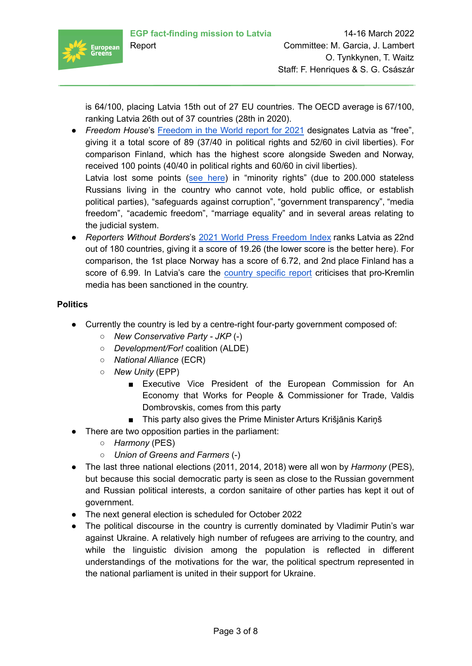

is 64/100, placing Latvia 15th out of 27 EU countries. The OECD average is 67/100, ranking Latvia 26th out of 37 countries (28th in 2020).

- *● Freedom House*'s [Freedom](https://freedomhouse.org/countries/freedom-world/scores) in the World report for 2021 designates Latvia as "free", giving it a total score of 89 (37/40 in political rights and 52/60 in civil liberties). For comparison Finland, which has the highest score alongside Sweden and Norway, received 100 points (40/40 in political rights and 60/60 in civil liberties). Latvia lost some points (see [here](https://freedomhouse.org/country/latvia/freedom-world/2021)) in "minority rights" (due to 200.000 stateless Russians living in the country who cannot vote, hold public office, or establish political parties), "safeguards against corruption", "government transparency", "media freedom", "academic freedom", "marriage equality" and in several areas relating to the judicial system.
- *● Reporters Without Borders*'s 2021 World Press [Freedom](https://rsf.org/en/ranking) Index ranks Latvia as 22nd out of 180 countries, giving it a score of 19.26 (the lower score is the better here). For comparison, the 1st place Norway has a score of 6.72, and 2nd place Finland has a score of 6.99. In Latvia's care the country [specific](https://rsf.org/en/latvia) report criticises that pro-Kremlin media has been sanctioned in the country.

### **Politics**

- Currently the country is led by a centre-right four-party government composed of:
	- *New Conservative Party - JKP* (-)
	- *Development/For!* coalition (ALDE)
	- *○ National Alliance* (ECR)
	- *○ New Unity* (EPP)
		- Executive Vice President of the European Commission for An Economy that Works for People & Commissioner for Trade, Valdis Dombrovskis, comes from this party
		- This party also gives the Prime Minister Arturs Krišjānis Kariņš
- There are two opposition parties in the parliament:
	- *Harmony* (PES)
	- *Union of Greens and Farmers* (-)
- The last three national elections (2011, 2014, 2018) were all won by *Harmony* (PES), but because this social democratic party is seen as close to the Russian government and Russian political interests, a cordon sanitaire of other parties has kept it out of government.
- The next general election is scheduled for October 2022
- The political discourse in the country is currently dominated by Vladimir Putin's war against Ukraine. A relatively high number of refugees are arriving to the country, and while the linguistic division among the population is reflected in different understandings of the motivations for the war, the political spectrum represented in the national parliament is united in their support for Ukraine.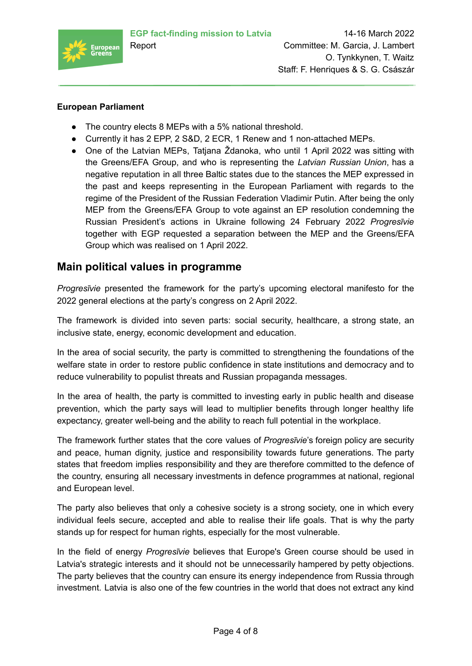

#### **European Parliament**

- The country elects 8 MEPs with a 5% national threshold.
- Currently it has 2 EPP, 2 S&D, 2 ECR, 1 Renew and 1 non-attached MEPs.
- One of the Latvian MEPs, Tatjana Ždanoka, who until 1 April 2022 was sitting with the Greens/EFA Group, and who is representing the *Latvian Russian Union*, has a negative reputation in all three Baltic states due to the stances the MEP expressed in the past and keeps representing in the European Parliament with regards to the regime of the President of the Russian Federation Vladimir Putin. After being the only MEP from the Greens/EFA Group to vote against an EP resolution condemning the Russian President's actions in Ukraine following 24 February 2022 *Progresīvie* together with EGP requested a separation between the MEP and the Greens/EFA Group which was realised on 1 April 2022.

### **Main political values in programme**

*Progresīvie* presented the framework for the party's upcoming electoral manifesto for the 2022 general elections at the party's congress on 2 April 2022.

The framework is divided into seven parts: social security, healthcare, a strong state, an inclusive state, energy, economic development and education.

In the area of social security, the party is committed to strengthening the foundations of the welfare state in order to restore public confidence in state institutions and democracy and to reduce vulnerability to populist threats and Russian propaganda messages.

In the area of health, the party is committed to investing early in public health and disease prevention, which the party says will lead to multiplier benefits through longer healthy life expectancy, greater well-being and the ability to reach full potential in the workplace.

The framework further states that the core values of *Progresīvie*'s foreign policy are security and peace, human dignity, justice and responsibility towards future generations. The party states that freedom implies responsibility and they are therefore committed to the defence of the country, ensuring all necessary investments in defence programmes at national, regional and European level.

The party also believes that only a cohesive society is a strong society, one in which every individual feels secure, accepted and able to realise their life goals. That is why the party stands up for respect for human rights, especially for the most vulnerable.

In the field of energy *Progresīvie* believes that Europe's Green course should be used in Latvia's strategic interests and it should not be unnecessarily hampered by petty objections. The party believes that the country can ensure its energy independence from Russia through investment. Latvia is also one of the few countries in the world that does not extract any kind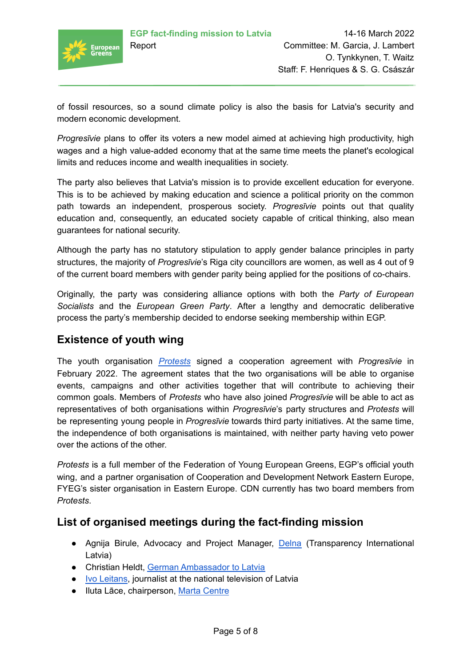

of fossil resources, so a sound climate policy is also the basis for Latvia's security and modern economic development.

*Progresīvie* plans to offer its voters a new model aimed at achieving high productivity, high wages and a high value-added economy that at the same time meets the planet's ecological limits and reduces income and wealth inequalities in society.

The party also believes that Latvia's mission is to provide excellent education for everyone. This is to be achieved by making education and science a political priority on the common path towards an independent, prosperous society. *Progresīvie* points out that quality education and, consequently, an educated society capable of critical thinking, also mean guarantees for national security.

Although the party has no statutory stipulation to apply gender balance principles in party structures, the majority of *Progresīvie*'s Riga city councillors are women, as well as 4 out of 9 of the current board members with gender parity being applied for the positions of co-chairs.

Originally, the party was considering alliance options with both the *Party of European Socialists* and the *European Green Party*. After a lengthy and democratic deliberative process the party's membership decided to endorse seeking membership within EGP.

# **Existence of youth wing**

The youth organisation *[Protests](https://www.protests.eu/)* signed a cooperation agreement with *Progresīvie* in February 2022. The agreement states that the two organisations will be able to organise events, campaigns and other activities together that will contribute to achieving their common goals. Members of *Protests* who have also joined *Progresīvie* will be able to act as representatives of both organisations within *Progresīvie*'s party structures and *Protests* will be representing young people in *Progresīvie* towards third party initiatives. At the same time, the independence of both organisations is maintained, with neither party having veto power over the actions of the other.

*Protests* is a full member of the Federation of Young European Greens, EGP's official youth wing, and a partner organisation of Cooperation and Development Network Eastern Europe, FYEG's sister organisation in Eastern Europe. CDN currently has two board members from *Protests*.

## **List of organised meetings during the fact-finding mission**

- Agnija Birule, Advocacy and Project Manager, [Delna](https://delna.lv/en/) (Transparency International Latvia)
- Christian Heldt, German [Ambassador](https://riga.diplo.de/) to Latvia
- Ivo [Leitans](https://www.lsm.lv/autors/ivo-leitans/), journalist at the national television of Latvia
- Iluta Lāce, chairperson, Marta [Centre](https://marta.lv/en/)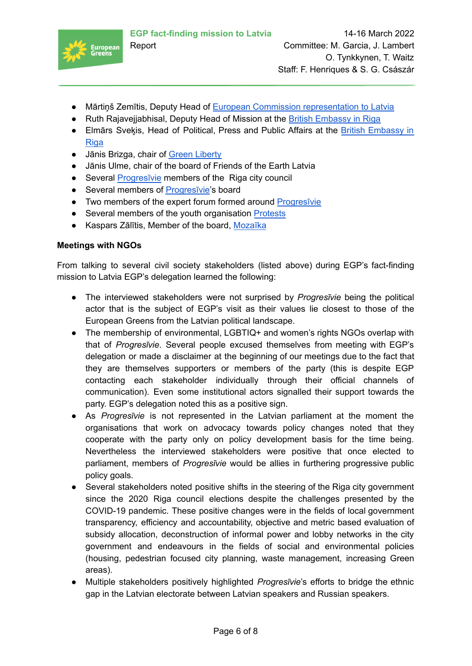

- Mārtiņš Zemītis, Deputy Head of European Commission [representation](https://latvia.representation.ec.europa.eu/index_lv) to Latvia
- Ruth Rajavejjabhisal, Deputy Head of Mission at the British [Embassy](https://www.gov.uk/world/organisations/british-embassy-riga) in Riga
- Elmārs Sveķis, Head of Political, Press and Public Affairs at the British [Embassy](https://www.gov.uk/world/organisations/british-embassy-riga) in [Riga](https://www.gov.uk/world/organisations/british-embassy-riga)
- Jānis Brizga, chair of Green [Liberty](https://www.zalabriviba.lv/)
- Jānis Ulme, chair of the board of Friends of the Earth Latvia
- Several [Progresīvie](https://www.progresivie.lv/) members of the Riga city council
- Several members of Progresivie's board
- Two members of the expert forum formed around Progresivie
- Several members of the youth organisation [Protests](https://www.protests.eu/)
- Kaspars Zālītis, Member of the board, [Mozaīka](https://www.mozaika.lv/)

#### **Meetings with NGOs**

From talking to several civil society stakeholders (listed above) during EGP's fact-finding mission to Latvia EGP's delegation learned the following:

- The interviewed stakeholders were not surprised by *Progresīvie* being the political actor that is the subject of EGP's visit as their values lie closest to those of the European Greens from the Latvian political landscape.
- The membership of environmental, LGBTIQ+ and women's rights NGOs overlap with that of *Progresīvie*. Several people excused themselves from meeting with EGP's delegation or made a disclaimer at the beginning of our meetings due to the fact that they are themselves supporters or members of the party (this is despite EGP contacting each stakeholder individually through their official channels of communication). Even some institutional actors signalled their support towards the party. EGP's delegation noted this as a positive sign.
- As *Progresīvie* is not represented in the Latvian parliament at the moment the organisations that work on advocacy towards policy changes noted that they cooperate with the party only on policy development basis for the time being. Nevertheless the interviewed stakeholders were positive that once elected to parliament, members of *Progresīvie* would be allies in furthering progressive public policy goals.
- Several stakeholders noted positive shifts in the steering of the Riga city government since the 2020 Riga council elections despite the challenges presented by the COVID-19 pandemic. These positive changes were in the fields of local government transparency, efficiency and accountability, objective and metric based evaluation of subsidy allocation, deconstruction of informal power and lobby networks in the city government and endeavours in the fields of social and environmental policies (housing, pedestrian focused city planning, waste management, increasing Green areas).
- Multiple stakeholders positively highlighted *Progresīvie*'s efforts to bridge the ethnic gap in the Latvian electorate between Latvian speakers and Russian speakers.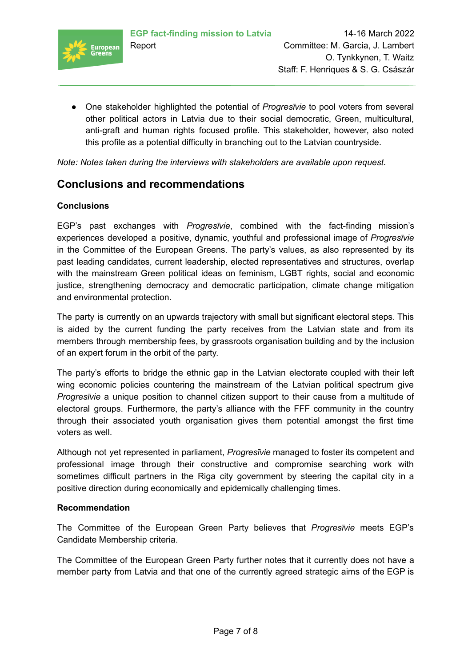

● One stakeholder highlighted the potential of *Progresīvie* to pool voters from several other political actors in Latvia due to their social democratic, Green, multicultural, anti-graft and human rights focused profile. This stakeholder, however, also noted this profile as a potential difficulty in branching out to the Latvian countryside.

*Note: Notes taken during the interviews with stakeholders are available upon request.*

### **Conclusions and recommendations**

#### **Conclusions**

EGP's past exchanges with *Progresīvie*, combined with the fact-finding mission's experiences developed a positive, dynamic, youthful and professional image of *Progresīvie* in the Committee of the European Greens. The party's values, as also represented by its past leading candidates, current leadership, elected representatives and structures, overlap with the mainstream Green political ideas on feminism, LGBT rights, social and economic justice, strengthening democracy and democratic participation, climate change mitigation and environmental protection.

The party is currently on an upwards trajectory with small but significant electoral steps. This is aided by the current funding the party receives from the Latvian state and from its members through membership fees, by grassroots organisation building and by the inclusion of an expert forum in the orbit of the party.

The party's efforts to bridge the ethnic gap in the Latvian electorate coupled with their left wing economic policies countering the mainstream of the Latvian political spectrum give *Progresīvie* a unique position to channel citizen support to their cause from a multitude of electoral groups. Furthermore, the party's alliance with the FFF community in the country through their associated youth organisation gives them potential amongst the first time voters as well.

Although not yet represented in parliament, *Progresīvie* managed to foster its competent and professional image through their constructive and compromise searching work with sometimes difficult partners in the Riga city government by steering the capital city in a positive direction during economically and epidemically challenging times.

#### **Recommendation**

The Committee of the European Green Party believes that *Progresīvie* meets EGP's Candidate Membership criteria.

The Committee of the European Green Party further notes that it currently does not have a member party from Latvia and that one of the currently agreed strategic aims of the EGP is